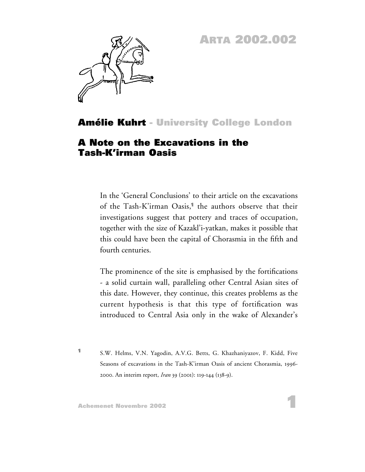## **ARTA 2002.002**



## **Amélie Kuhrt - University College London**

## **A Note on the Excavations in the Tash-K'irman Oasis**

In the 'General Conclusions' to their article on the excavations of the Tash-K'irman Oasis,**<sup>1</sup>** the authors observe that their investigations suggest that pottery and traces of occupation, together with the size of Kazakl'i-yatkan, makes it possible that this could have been the capital of Chorasmia in the fifth and fourth centuries.

The prominence of the site is emphasised by the fortifications - a solid curtain wall, paralleling other Central Asian sites of this date. However, they continue, this creates problems as the current hypothesis is that this type of fortification was introduced to Central Asia only in the wake of Alexander's

**<sup>1</sup>** S.W. Helms, V.N. Yagodin, A.V.G. Betts, G. Khazhaniyazov, F. Kidd, Five Seasons of excavations in the Tash-K'irman Oasis of ancient Chorasmia, 1996- 2000. An interim report, *Iran* 39 (2001): 119-144 (138-9).

**1**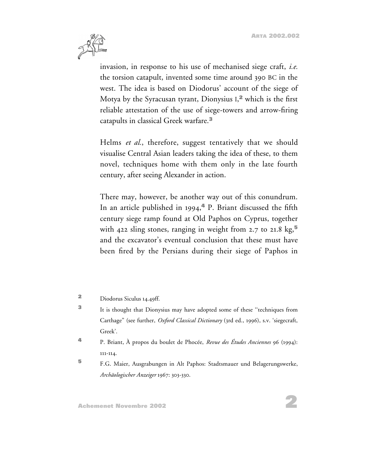

invasion, in response to his use of mechanised siege craft, *i.e.* the torsion catapult, invented some time around 390 BC in the west. The idea is based on Diodorus' account of the siege of Motya by the Syracusan tyrant, Dionysius I, **<sup>2</sup>** which is the first reliable attestation of the use of siege-towers and arrow-firing catapults in classical Greek warfare.**<sup>3</sup>**

Helms *et al.*, therefore, suggest tentatively that we should visualise Central Asian leaders taking the idea of these, to them novel, techniques home with them only in the late fourth century, after seeing Alexander in action.

There may, however, be another way out of this conundrum. In an article published in 1994,**<sup>4</sup>** P. Briant discussed the fifth century siege ramp found at Old Paphos on Cyprus, together with 422 sling stones, ranging in weight from 2.7 to 21.8 kg,**<sup>5</sup>** and the excavator's eventual conclusion that these must have been fired by the Persians during their siege of Paphos in

**<sup>5</sup>** F.G. Maier, Ausgrabungen in Alt Paphos: Stadtsmauer und Belagerungswerke, *Archäologischer Anzeiger* 1967: 303-330.

**<sup>2</sup>** Diodorus Siculus 14.49ff.

**<sup>3</sup>** It is thought that Dionysius may have adopted some of these ''techniques from Carthage" (see further, *Oxford Classical Dictionary* (3rd ed., 1996), s.v. 'siegecraft, Greek'.

**<sup>4</sup>** P. Briant, À propos du boulet de Phocée, *Revue des Études Anciennes* 96 (1994): 111-114.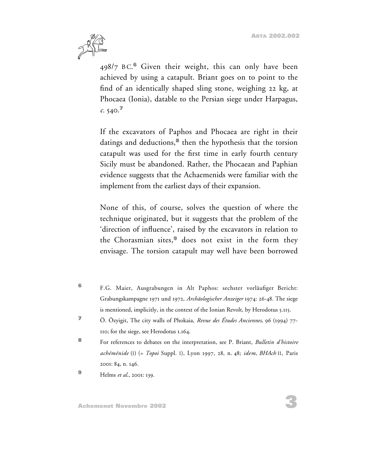

498/7 B C. **<sup>6</sup>** Given their weight, this can only have been achieved by using a catapult. Briant goes on to point to the find of an identically shaped sling stone, weighing 22 kg, at Phocaea (Ionia), datable to the Persian siege under Harpagus,  $c. 540.$ <sup> $\textdegree$ </sup>

If the excavators of Paphos and Phocaea are right in their datings and deductions,**<sup>8</sup>** then the hypothesis that the torsion catapult was used for the first time in early fourth century Sicily must be abandoned. Rather, the Phocaean and Paphian evidence suggests that the Achaemenids were familiar with the implement from the earliest days of their expansion.

None of this, of course, solves the question of where the technique originated, but it suggests that the problem of the 'direction of influence', raised by the excavators in relation to the Chorasmian sites,**<sup>9</sup>** does not exist in the form they envisage. The torsion catapult may well have been borrowed

- **<sup>6</sup>** F.G. Maier, Ausgrabungen in Alt Paphos: sechster vorläufiger Bericht: Grabungskampagne 1971 und 1972, *Archäologischer Anzeiger* 1974: 26-48. The siege is mentioned, implicitly, in the context of the Ionian Revolt, by Herodotus 5.115.
- **<sup>7</sup>** Ö. Özyigit, The city walls of Phokaia, *Revue des Études Anciennes*, 96 (1994) 77- 110; for the siege, see Herodotus 1.164.
- **<sup>8</sup>** For references to debates on the interpretation, see P. Briant, *Bulletin d'histoire achéménide* (I) (= *Topoi* Suppl. I), Lyon 1997, 28, n. 48; *idem*, *BHAch* II, Paris 2001: 84, n. 146.
- **<sup>9</sup>** Helms *et al.*, 2001: 139.